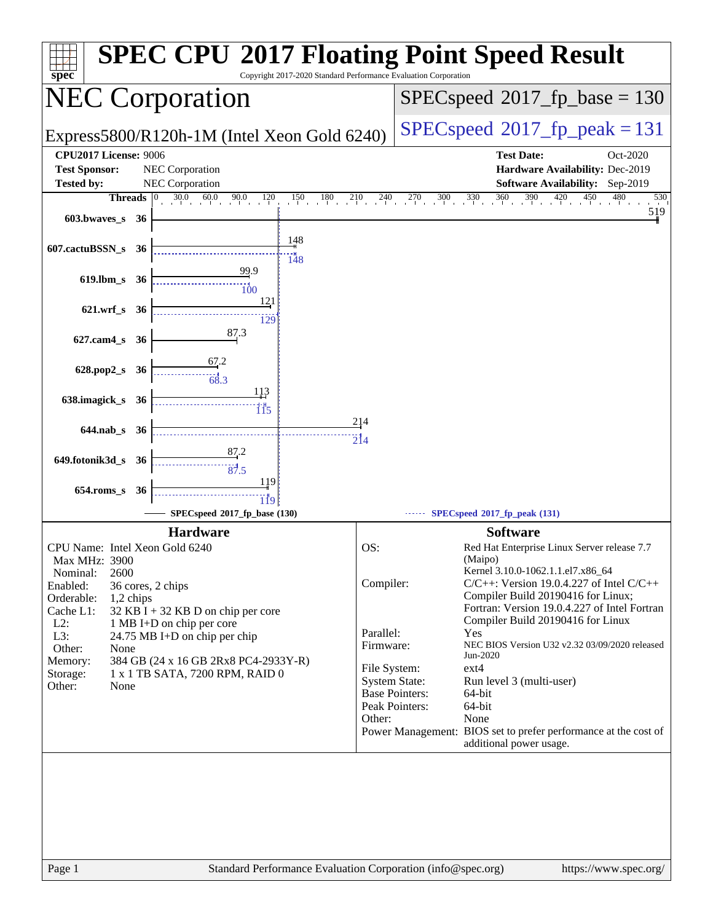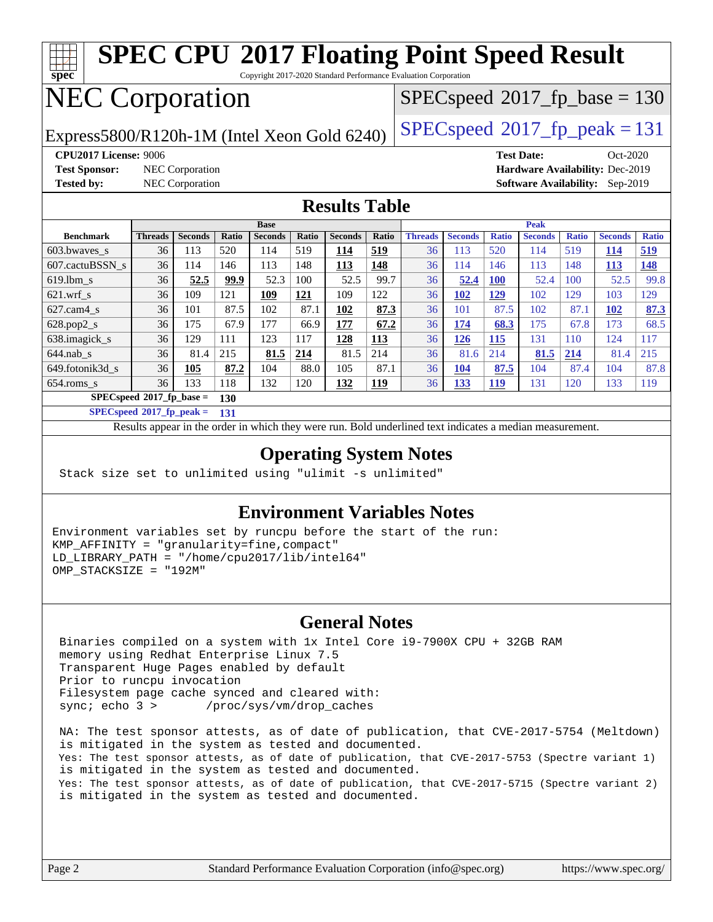

[654.roms\\_s](http://www.spec.org/auto/cpu2017/Docs/benchmarks/654.roms_s.html) 36 133 118 132 120 **[132](http://www.spec.org/auto/cpu2017/Docs/result-fields.html#Median) [119](http://www.spec.org/auto/cpu2017/Docs/result-fields.html#Median)** 36 **[133](http://www.spec.org/auto/cpu2017/Docs/result-fields.html#Median) [119](http://www.spec.org/auto/cpu2017/Docs/result-fields.html#Median)** 131 120 133 119 **[SPECspeed](http://www.spec.org/auto/cpu2017/Docs/result-fields.html#SPECspeed2017fpbase)[2017\\_fp\\_base =](http://www.spec.org/auto/cpu2017/Docs/result-fields.html#SPECspeed2017fpbase) 130**

**[SPECspeed](http://www.spec.org/auto/cpu2017/Docs/result-fields.html#SPECspeed2017fppeak)[2017\\_fp\\_peak =](http://www.spec.org/auto/cpu2017/Docs/result-fields.html#SPECspeed2017fppeak) 131**

Results appear in the [order in which they were run.](http://www.spec.org/auto/cpu2017/Docs/result-fields.html#RunOrder) Bold underlined text [indicates a median measurement](http://www.spec.org/auto/cpu2017/Docs/result-fields.html#Median).

#### **[Operating System Notes](http://www.spec.org/auto/cpu2017/Docs/result-fields.html#OperatingSystemNotes)**

Stack size set to unlimited using "ulimit -s unlimited"

#### **[Environment Variables Notes](http://www.spec.org/auto/cpu2017/Docs/result-fields.html#EnvironmentVariablesNotes)**

Environment variables set by runcpu before the start of the run: KMP\_AFFINITY = "granularity=fine,compact" LD\_LIBRARY\_PATH = "/home/cpu2017/lib/intel64" OMP\_STACKSIZE = "192M"

#### **[General Notes](http://www.spec.org/auto/cpu2017/Docs/result-fields.html#GeneralNotes)**

 Binaries compiled on a system with 1x Intel Core i9-7900X CPU + 32GB RAM memory using Redhat Enterprise Linux 7.5 Transparent Huge Pages enabled by default Prior to runcpu invocation Filesystem page cache synced and cleared with: sync; echo 3 > /proc/sys/vm/drop\_caches

 NA: The test sponsor attests, as of date of publication, that CVE-2017-5754 (Meltdown) is mitigated in the system as tested and documented. Yes: The test sponsor attests, as of date of publication, that CVE-2017-5753 (Spectre variant 1) is mitigated in the system as tested and documented. Yes: The test sponsor attests, as of date of publication, that CVE-2017-5715 (Spectre variant 2) is mitigated in the system as tested and documented.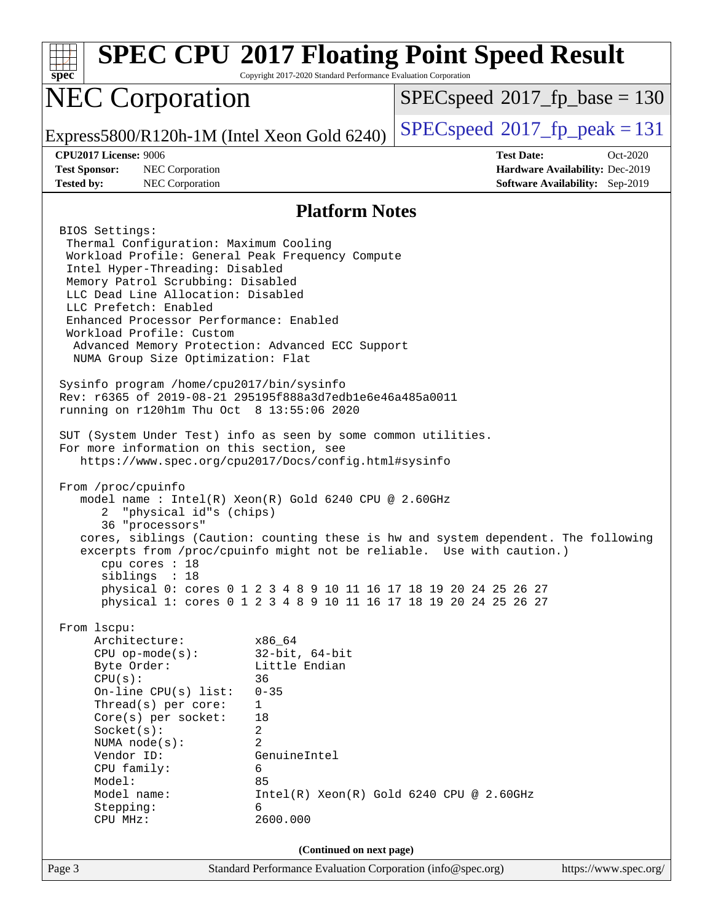| spec <sup>®</sup>                                                                                                                                                                                                                                                                                                                                                                                                                                                                                                                                                                                                                                                                                                                                                                                                                                                                                                          | Copyright 2017-2020 Standard Performance Evaluation Corporation                                                                                           | <b>SPEC CPU®2017 Floating Point Speed Result</b>                                                                                                                                                                                                                                                    |  |  |
|----------------------------------------------------------------------------------------------------------------------------------------------------------------------------------------------------------------------------------------------------------------------------------------------------------------------------------------------------------------------------------------------------------------------------------------------------------------------------------------------------------------------------------------------------------------------------------------------------------------------------------------------------------------------------------------------------------------------------------------------------------------------------------------------------------------------------------------------------------------------------------------------------------------------------|-----------------------------------------------------------------------------------------------------------------------------------------------------------|-----------------------------------------------------------------------------------------------------------------------------------------------------------------------------------------------------------------------------------------------------------------------------------------------------|--|--|
| <b>NEC Corporation</b>                                                                                                                                                                                                                                                                                                                                                                                                                                                                                                                                                                                                                                                                                                                                                                                                                                                                                                     |                                                                                                                                                           | $SPEC speed^{\circ}2017$ fp base = 130                                                                                                                                                                                                                                                              |  |  |
| Express5800/R120h-1M (Intel Xeon Gold 6240)                                                                                                                                                                                                                                                                                                                                                                                                                                                                                                                                                                                                                                                                                                                                                                                                                                                                                |                                                                                                                                                           | $SPEC speed^{\circ}2017$ fp peak = 131                                                                                                                                                                                                                                                              |  |  |
| <b>CPU2017 License: 9006</b><br><b>Test Sponsor:</b><br>NEC Corporation<br><b>Tested by:</b><br>NEC Corporation                                                                                                                                                                                                                                                                                                                                                                                                                                                                                                                                                                                                                                                                                                                                                                                                            |                                                                                                                                                           | <b>Test Date:</b><br>Oct-2020<br>Hardware Availability: Dec-2019<br><b>Software Availability:</b> Sep-2019                                                                                                                                                                                          |  |  |
|                                                                                                                                                                                                                                                                                                                                                                                                                                                                                                                                                                                                                                                                                                                                                                                                                                                                                                                            | <b>Platform Notes</b>                                                                                                                                     |                                                                                                                                                                                                                                                                                                     |  |  |
| BIOS Settings:<br>Thermal Configuration: Maximum Cooling<br>Workload Profile: General Peak Frequency Compute<br>Intel Hyper-Threading: Disabled<br>Memory Patrol Scrubbing: Disabled<br>LLC Dead Line Allocation: Disabled<br>LLC Prefetch: Enabled<br>Enhanced Processor Performance: Enabled<br>Workload Profile: Custom<br>Advanced Memory Protection: Advanced ECC Support<br>NUMA Group Size Optimization: Flat<br>Sysinfo program /home/cpu2017/bin/sysinfo<br>Rev: r6365 of 2019-08-21 295195f888a3d7edble6e46a485a0011<br>running on r120h1m Thu Oct 8 13:55:06 2020<br>SUT (System Under Test) info as seen by some common utilities.<br>For more information on this section, see<br>https://www.spec.org/cpu2017/Docs/config.html#sysinfo<br>From /proc/cpuinfo<br>model name : Intel(R) Xeon(R) Gold 6240 CPU @ 2.60GHz<br>"physical id"s (chips)<br>2<br>36 "processors"<br>cpu cores $: 18$<br>siblings : 18 |                                                                                                                                                           | cores, siblings (Caution: counting these is hw and system dependent. The following<br>excerpts from /proc/cpuinfo might not be reliable. Use with caution.)<br>physical 0: cores 0 1 2 3 4 8 9 10 11 16 17 18 19 20 24 25 26 27<br>physical 1: cores 0 1 2 3 4 8 9 10 11 16 17 18 19 20 24 25 26 27 |  |  |
| From 1scpu:<br>Architecture:<br>$CPU$ op-mode( $s$ ):<br>Byte Order:<br>CPU(s):<br>On-line $CPU(s)$ list:<br>Thread(s) per core:<br>$Core(s)$ per socket:<br>Socket(s):<br>NUMA node(s):<br>Vendor ID:<br>CPU family:<br>Model:<br>Model name:<br>Stepping:<br>CPU MHz:                                                                                                                                                                                                                                                                                                                                                                                                                                                                                                                                                                                                                                                    | x86 64<br>$32$ -bit, $64$ -bit<br>Little Endian<br>36<br>$0 - 35$<br>$\mathbf 1$<br>18<br>2<br>$\overline{2}$<br>GenuineIntel<br>6<br>85<br>6<br>2600.000 | $Intel(R) Xeon(R) Gold 6240 CPU @ 2.60GHz$                                                                                                                                                                                                                                                          |  |  |
| (Continued on next page)<br>Page 3<br>Standard Performance Evaluation Corporation (info@spec.org)<br>https://www.spec.org/                                                                                                                                                                                                                                                                                                                                                                                                                                                                                                                                                                                                                                                                                                                                                                                                 |                                                                                                                                                           |                                                                                                                                                                                                                                                                                                     |  |  |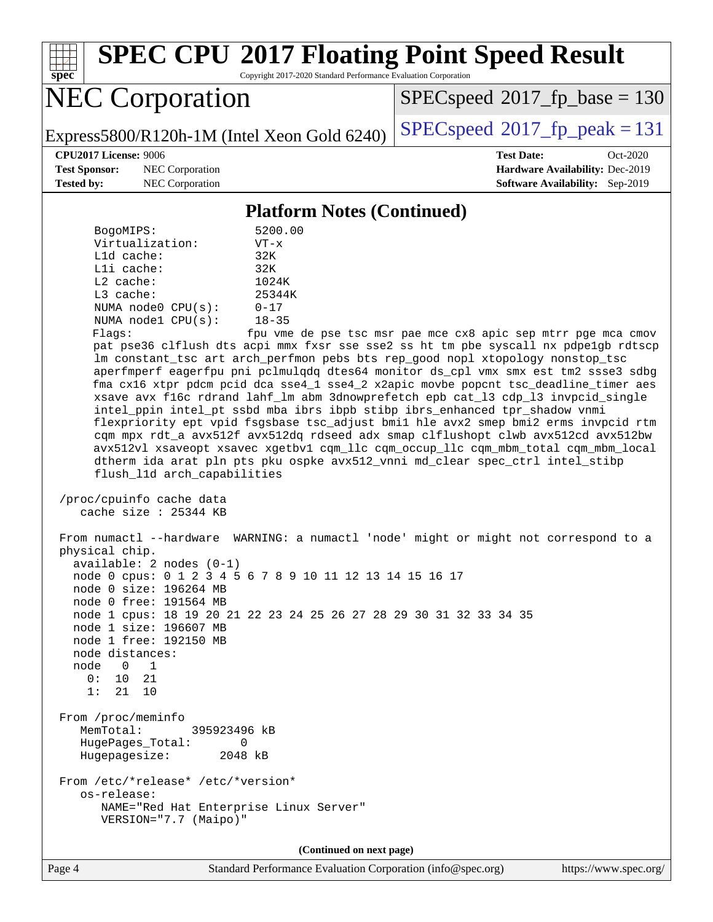

# **[SPEC CPU](http://www.spec.org/auto/cpu2017/Docs/result-fields.html#SPECCPU2017FloatingPointSpeedResult)[2017 Floating Point Speed Result](http://www.spec.org/auto/cpu2017/Docs/result-fields.html#SPECCPU2017FloatingPointSpeedResult)**

Copyright 2017-2020 Standard Performance Evaluation Corporation

# NEC Corporation

[SPECspeed](http://www.spec.org/auto/cpu2017/Docs/result-fields.html#SPECspeed2017fpbase)<sup>®</sup>2017 fp base = 130

Express5800/R120h-1M (Intel Xeon Gold 6240)  $\left|$  [SPECspeed](http://www.spec.org/auto/cpu2017/Docs/result-fields.html#SPECspeed2017fppeak)<sup>®</sup>[2017\\_fp\\_peak = 1](http://www.spec.org/auto/cpu2017/Docs/result-fields.html#SPECspeed2017fppeak)31

**[Test Sponsor:](http://www.spec.org/auto/cpu2017/Docs/result-fields.html#TestSponsor)** NEC Corporation **[Hardware Availability:](http://www.spec.org/auto/cpu2017/Docs/result-fields.html#HardwareAvailability)** Dec-2019

**[CPU2017 License:](http://www.spec.org/auto/cpu2017/Docs/result-fields.html#CPU2017License)** 9006 **[Test Date:](http://www.spec.org/auto/cpu2017/Docs/result-fields.html#TestDate)** Oct-2020 **[Tested by:](http://www.spec.org/auto/cpu2017/Docs/result-fields.html#Testedby)** NEC Corporation **[Software Availability:](http://www.spec.org/auto/cpu2017/Docs/result-fields.html#SoftwareAvailability)** Sep-2019

#### **[Platform Notes \(Continued\)](http://www.spec.org/auto/cpu2017/Docs/result-fields.html#PlatformNotes)**

| BogoMIPS:               | 5200.00   |
|-------------------------|-----------|
| Virtualization:         | $VT - x$  |
| $L1d$ cache:            | 32K       |
| Lli cache:              | 32K       |
| $L2$ cache:             | 1024K     |
| $L3$ cache:             | 25344K    |
| NUMA $node0$ $CPU(s)$ : | $0 - 17$  |
| NUMA nodel CPU(s):      | $18 - 35$ |
|                         |           |

Flags: fpu vme de pse tsc msr pae mce cx8 apic sep mtrr pge mca cmov pat pse36 clflush dts acpi mmx fxsr sse sse2 ss ht tm pbe syscall nx pdpe1gb rdtscp lm constant\_tsc art arch\_perfmon pebs bts rep\_good nopl xtopology nonstop\_tsc aperfmperf eagerfpu pni pclmulqdq dtes64 monitor ds\_cpl vmx smx est tm2 ssse3 sdbg fma cx16 xtpr pdcm pcid dca sse4\_1 sse4\_2 x2apic movbe popcnt tsc\_deadline\_timer aes xsave avx f16c rdrand lahf\_lm abm 3dnowprefetch epb cat\_l3 cdp\_l3 invpcid\_single intel\_ppin intel\_pt ssbd mba ibrs ibpb stibp ibrs\_enhanced tpr\_shadow vnmi flexpriority ept vpid fsgsbase tsc\_adjust bmi1 hle avx2 smep bmi2 erms invpcid rtm cqm mpx rdt\_a avx512f avx512dq rdseed adx smap clflushopt clwb avx512cd avx512bw avx512vl xsaveopt xsavec xgetbv1 cqm\_llc cqm\_occup\_llc cqm\_mbm\_total cqm\_mbm\_local dtherm ida arat pln pts pku ospke avx512\_vnni md\_clear spec\_ctrl intel\_stibp flush\_l1d arch\_capabilities

```
 /proc/cpuinfo cache data
cache size : 25344 KB
```
 From numactl --hardware WARNING: a numactl 'node' might or might not correspond to a physical chip. available: 2 nodes (0-1) node 0 cpus: 0 1 2 3 4 5 6 7 8 9 10 11 12 13 14 15 16 17 node 0 size: 196264 MB node 0 free: 191564 MB node 1 cpus: 18 19 20 21 22 23 24 25 26 27 28 29 30 31 32 33 34 35 node 1 size: 196607 MB node 1 free: 192150 MB node distances: node 0 1 0: 10 21 1: 21 10 From /proc/meminfo MemTotal: 395923496 kB HugePages\_Total: 0 Hugepagesize: 2048 kB From /etc/\*release\* /etc/\*version\* os-release: NAME="Red Hat Enterprise Linux Server" VERSION="7.7 (Maipo)"

**(Continued on next page)**

Page 4 Standard Performance Evaluation Corporation [\(info@spec.org\)](mailto:info@spec.org) <https://www.spec.org/>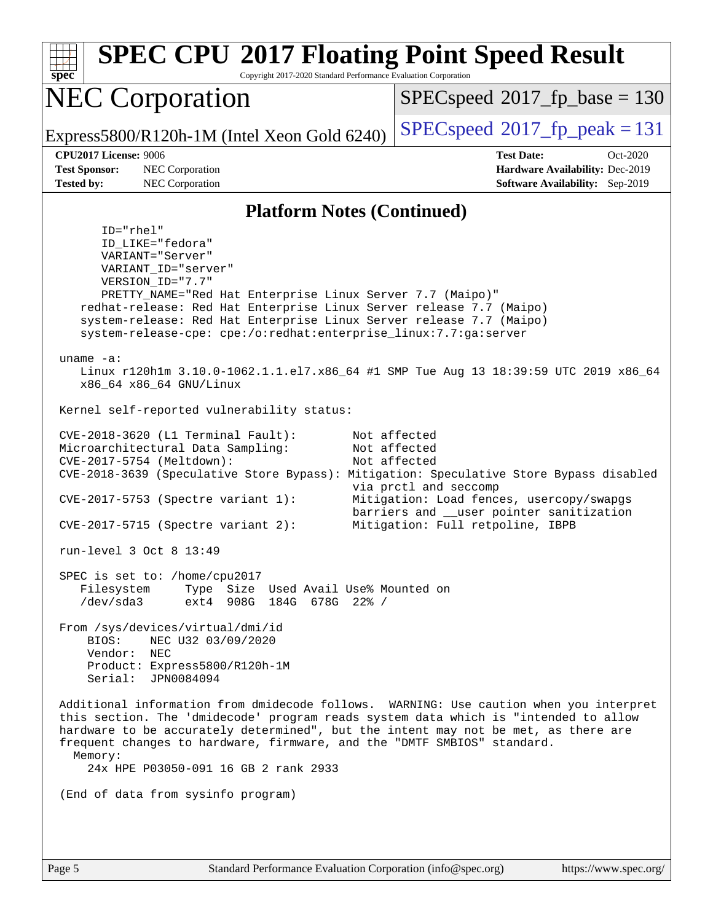| <b>SPEC CPU®2017 Floating Point Speed Result</b><br>Copyright 2017-2020 Standard Performance Evaluation Corporation<br>$spec^*$                                                                                                                                                                                                                                                                                                                                                                                                                                                                     |                                                                                                                                                                                   |  |  |  |  |  |
|-----------------------------------------------------------------------------------------------------------------------------------------------------------------------------------------------------------------------------------------------------------------------------------------------------------------------------------------------------------------------------------------------------------------------------------------------------------------------------------------------------------------------------------------------------------------------------------------------------|-----------------------------------------------------------------------------------------------------------------------------------------------------------------------------------|--|--|--|--|--|
| <b>NEC Corporation</b>                                                                                                                                                                                                                                                                                                                                                                                                                                                                                                                                                                              | $SPEC speed^{\circ}2017\_fp\_base = 130$                                                                                                                                          |  |  |  |  |  |
| Express5800/R120h-1M (Intel Xeon Gold 6240)                                                                                                                                                                                                                                                                                                                                                                                                                                                                                                                                                         | $SPEC speed^{\circ}2017$ fp peak = 131                                                                                                                                            |  |  |  |  |  |
| CPU2017 License: 9006<br><b>Test Sponsor:</b><br>NEC Corporation<br><b>Tested by:</b><br>NEC Corporation                                                                                                                                                                                                                                                                                                                                                                                                                                                                                            | <b>Test Date:</b><br>$Oct-2020$<br>Hardware Availability: Dec-2019<br><b>Software Availability:</b> Sep-2019                                                                      |  |  |  |  |  |
| <b>Platform Notes (Continued)</b>                                                                                                                                                                                                                                                                                                                                                                                                                                                                                                                                                                   |                                                                                                                                                                                   |  |  |  |  |  |
| $ID="rhe1"$<br>ID_LIKE="fedora"<br>VARIANT="Server"<br>VARIANT_ID="server"<br>VERSION_ID="7.7"<br>PRETTY_NAME="Red Hat Enterprise Linux Server 7.7 (Maipo)"<br>redhat-release: Red Hat Enterprise Linux Server release 7.7 (Maipo)<br>system-release: Red Hat Enterprise Linux Server release 7.7 (Maipo)<br>system-release-cpe: cpe:/o:redhat:enterprise_linux:7.7:ga:server<br>uname $-a$ :<br>Linux r120hlm 3.10.0-1062.1.1.el7.x86_64 #1 SMP Tue Aug 13 18:39:59 UTC 2019 x86_64<br>x86_64 x86_64 GNU/Linux<br>Kernel self-reported vulnerability status:<br>CVE-2018-3620 (L1 Terminal Fault): | Not affected                                                                                                                                                                      |  |  |  |  |  |
| Microarchitectural Data Sampling:<br>CVE-2017-5754 (Meltdown):<br>CVE-2018-3639 (Speculative Store Bypass): Mitigation: Speculative Store Bypass disabled<br>CVE-2017-5753 (Spectre variant 1):<br>$CVE-2017-5715$ (Spectre variant 2):                                                                                                                                                                                                                                                                                                                                                             | Not affected<br>Not affected<br>via prctl and seccomp<br>Mitigation: Load fences, usercopy/swapgs<br>barriers and __user pointer sanitization<br>Mitigation: Full retpoline, IBPB |  |  |  |  |  |
| run-level 3 Oct 8 13:49                                                                                                                                                                                                                                                                                                                                                                                                                                                                                                                                                                             |                                                                                                                                                                                   |  |  |  |  |  |
| SPEC is set to: /home/cpu2017<br>Type Size Used Avail Use% Mounted on<br>Filesystem<br>/dev/sda3<br>ext4 908G 184G 678G 22% /                                                                                                                                                                                                                                                                                                                                                                                                                                                                       |                                                                                                                                                                                   |  |  |  |  |  |
| From /sys/devices/virtual/dmi/id<br>NEC U32 03/09/2020<br>BIOS:<br>Vendor: NEC<br>Product: Express5800/R120h-1M<br>Serial: JPN0084094                                                                                                                                                                                                                                                                                                                                                                                                                                                               |                                                                                                                                                                                   |  |  |  |  |  |
| Additional information from dmidecode follows. WARNING: Use caution when you interpret<br>this section. The 'dmidecode' program reads system data which is "intended to allow<br>hardware to be accurately determined", but the intent may not be met, as there are<br>frequent changes to hardware, firmware, and the "DMTF SMBIOS" standard.<br>Memory:<br>24x HPE P03050-091 16 GB 2 rank 2933                                                                                                                                                                                                   |                                                                                                                                                                                   |  |  |  |  |  |
| (End of data from sysinfo program)                                                                                                                                                                                                                                                                                                                                                                                                                                                                                                                                                                  |                                                                                                                                                                                   |  |  |  |  |  |
|                                                                                                                                                                                                                                                                                                                                                                                                                                                                                                                                                                                                     |                                                                                                                                                                                   |  |  |  |  |  |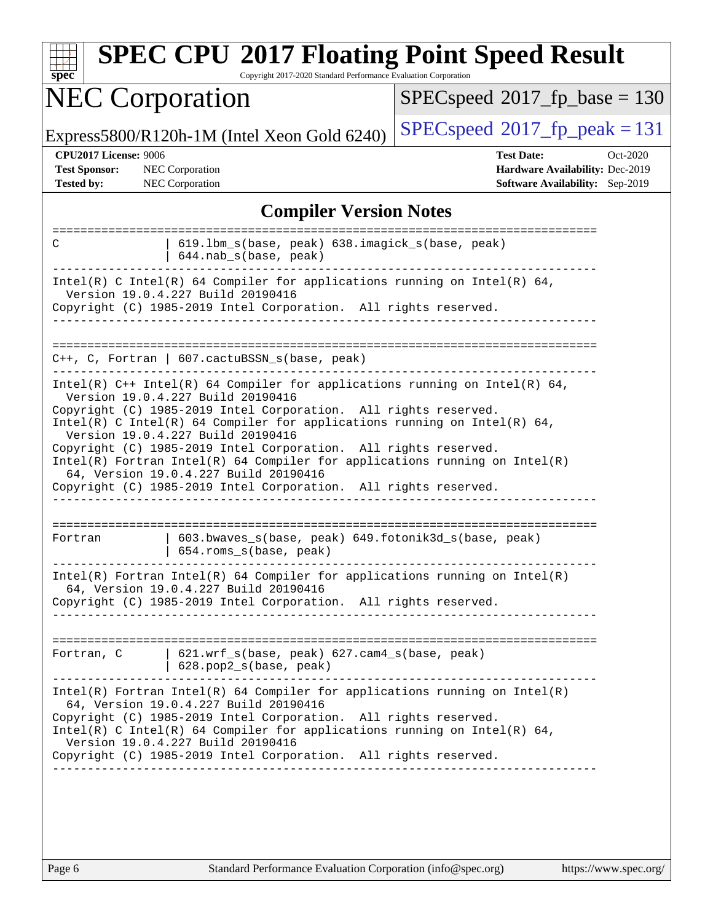| <b>NEC Corporation</b>                                                                                                                                                                                                                                                                                                                                                                                                                                                                                                                                               | Copyright 2017-2020 Standard Performance Evaluation Corporation<br>$SPEC speed^{\circ}2017$ fp base = 130 |  |  |  |  |
|----------------------------------------------------------------------------------------------------------------------------------------------------------------------------------------------------------------------------------------------------------------------------------------------------------------------------------------------------------------------------------------------------------------------------------------------------------------------------------------------------------------------------------------------------------------------|-----------------------------------------------------------------------------------------------------------|--|--|--|--|
| Express5800/R120h-1M (Intel Xeon Gold 6240)                                                                                                                                                                                                                                                                                                                                                                                                                                                                                                                          | $SPEC speed^{\circ}2017$ _fp_peak = 131                                                                   |  |  |  |  |
| <b>CPU2017 License: 9006</b><br><b>Test Sponsor:</b><br><b>NEC</b> Corporation<br>NEC Corporation<br><b>Tested by:</b>                                                                                                                                                                                                                                                                                                                                                                                                                                               | <b>Test Date:</b><br>Oct-2020<br>Hardware Availability: Dec-2019<br>Software Availability: Sep-2019       |  |  |  |  |
| <b>Compiler Version Notes</b>                                                                                                                                                                                                                                                                                                                                                                                                                                                                                                                                        |                                                                                                           |  |  |  |  |
| 619.1bm_s(base, peak) 638.imagick_s(base, peak)<br>C<br>644.nab_s(base, peak)                                                                                                                                                                                                                                                                                                                                                                                                                                                                                        |                                                                                                           |  |  |  |  |
| Intel(R) C Intel(R) 64 Compiler for applications running on Intel(R) 64,<br>Version 19.0.4.227 Build 20190416<br>Copyright (C) 1985-2019 Intel Corporation. All rights reserved.                                                                                                                                                                                                                                                                                                                                                                                     |                                                                                                           |  |  |  |  |
| $C++$ , C, Fortran   607.cactuBSSN_s(base, peak)                                                                                                                                                                                                                                                                                                                                                                                                                                                                                                                     |                                                                                                           |  |  |  |  |
| Intel(R) $C++$ Intel(R) 64 Compiler for applications running on Intel(R) 64,<br>Version 19.0.4.227 Build 20190416<br>Copyright (C) 1985-2019 Intel Corporation. All rights reserved.<br>Intel(R) C Intel(R) 64 Compiler for applications running on Intel(R) 64,<br>Version 19.0.4.227 Build 20190416<br>Copyright (C) 1985-2019 Intel Corporation. All rights reserved.<br>$Intel(R)$ Fortran Intel(R) 64 Compiler for applications running on Intel(R)<br>64, Version 19.0.4.227 Build 20190416<br>Copyright (C) 1985-2019 Intel Corporation. All rights reserved. |                                                                                                           |  |  |  |  |
| 603.bwaves_s(base, peak) 649.fotonik3d_s(base, peak)<br>Fortran<br>654.roms_s(base, peak)                                                                                                                                                                                                                                                                                                                                                                                                                                                                            |                                                                                                           |  |  |  |  |
| Intel(R) Fortran Intel(R) 64 Compiler for applications running on $Intel(R)$<br>64, Version 19.0.4.227 Build 20190416<br>Copyright (C) 1985-2019 Intel Corporation. All rights reserved.<br>__________________                                                                                                                                                                                                                                                                                                                                                       |                                                                                                           |  |  |  |  |
| 621.wrf_s(base, peak) 627.cam4_s(base, peak)<br>Fortran, C<br>$  628.pop2_s(base, peak)$                                                                                                                                                                                                                                                                                                                                                                                                                                                                             |                                                                                                           |  |  |  |  |
| $Intel(R)$ Fortran Intel(R) 64 Compiler for applications running on Intel(R)<br>64, Version 19.0.4.227 Build 20190416<br>Copyright (C) 1985-2019 Intel Corporation. All rights reserved.<br>Intel(R) C Intel(R) 64 Compiler for applications running on Intel(R) 64,<br>Version 19.0.4.227 Build 20190416<br>Copyright (C) 1985-2019 Intel Corporation. All rights reserved.                                                                                                                                                                                         |                                                                                                           |  |  |  |  |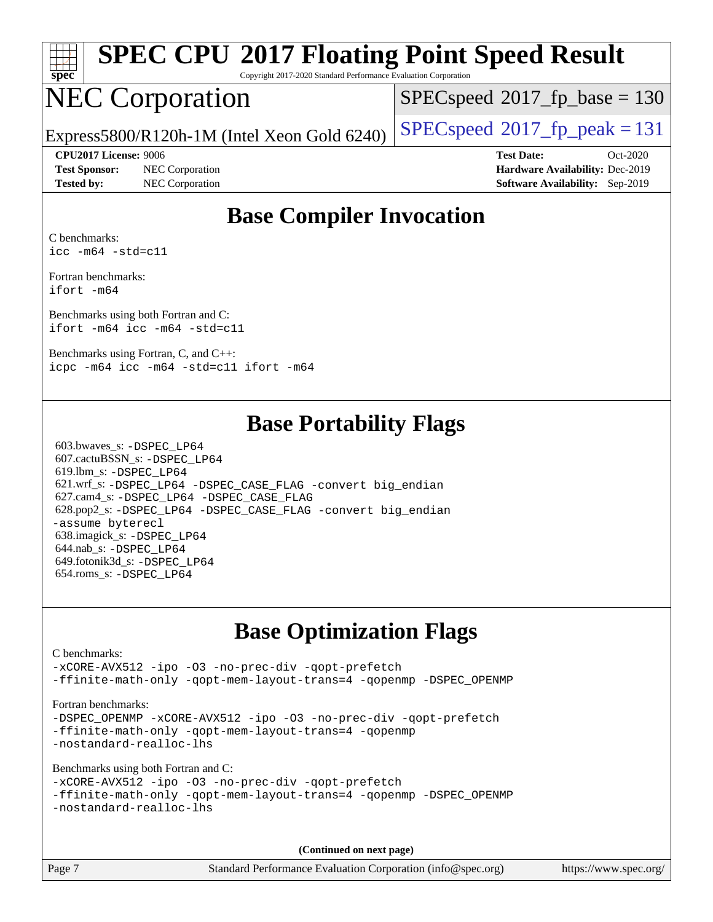

# **[SPEC CPU](http://www.spec.org/auto/cpu2017/Docs/result-fields.html#SPECCPU2017FloatingPointSpeedResult)[2017 Floating Point Speed Result](http://www.spec.org/auto/cpu2017/Docs/result-fields.html#SPECCPU2017FloatingPointSpeedResult)**

Copyright 2017-2020 Standard Performance Evaluation Corporation

## NEC Corporation

[SPECspeed](http://www.spec.org/auto/cpu2017/Docs/result-fields.html#SPECspeed2017fpbase)<sup>®</sup>2017 fp base = 130

Express5800/R120h-1M (Intel Xeon Gold 6240)  $\left|$  [SPECspeed](http://www.spec.org/auto/cpu2017/Docs/result-fields.html#SPECspeed2017fppeak)<sup>®</sup>[2017\\_fp\\_peak = 1](http://www.spec.org/auto/cpu2017/Docs/result-fields.html#SPECspeed2017fppeak)31

**[Test Sponsor:](http://www.spec.org/auto/cpu2017/Docs/result-fields.html#TestSponsor)** NEC Corporation **[Hardware Availability:](http://www.spec.org/auto/cpu2017/Docs/result-fields.html#HardwareAvailability)** Dec-2019 **[Tested by:](http://www.spec.org/auto/cpu2017/Docs/result-fields.html#Testedby)** NEC Corporation **[Software Availability:](http://www.spec.org/auto/cpu2017/Docs/result-fields.html#SoftwareAvailability)** Sep-2019

**[CPU2017 License:](http://www.spec.org/auto/cpu2017/Docs/result-fields.html#CPU2017License)** 9006 **[Test Date:](http://www.spec.org/auto/cpu2017/Docs/result-fields.html#TestDate)** Oct-2020

#### **[Base Compiler Invocation](http://www.spec.org/auto/cpu2017/Docs/result-fields.html#BaseCompilerInvocation)**

[C benchmarks:](http://www.spec.org/auto/cpu2017/Docs/result-fields.html#Cbenchmarks) [icc -m64 -std=c11](http://www.spec.org/cpu2017/results/res2020q4/cpu2017-20201012-24177.flags.html#user_CCbase_intel_icc_64bit_c11_33ee0cdaae7deeeab2a9725423ba97205ce30f63b9926c2519791662299b76a0318f32ddfffdc46587804de3178b4f9328c46fa7c2b0cd779d7a61945c91cd35)

[Fortran benchmarks](http://www.spec.org/auto/cpu2017/Docs/result-fields.html#Fortranbenchmarks): [ifort -m64](http://www.spec.org/cpu2017/results/res2020q4/cpu2017-20201012-24177.flags.html#user_FCbase_intel_ifort_64bit_24f2bb282fbaeffd6157abe4f878425411749daecae9a33200eee2bee2fe76f3b89351d69a8130dd5949958ce389cf37ff59a95e7a40d588e8d3a57e0c3fd751)

[Benchmarks using both Fortran and C:](http://www.spec.org/auto/cpu2017/Docs/result-fields.html#BenchmarksusingbothFortranandC) [ifort -m64](http://www.spec.org/cpu2017/results/res2020q4/cpu2017-20201012-24177.flags.html#user_CC_FCbase_intel_ifort_64bit_24f2bb282fbaeffd6157abe4f878425411749daecae9a33200eee2bee2fe76f3b89351d69a8130dd5949958ce389cf37ff59a95e7a40d588e8d3a57e0c3fd751) [icc -m64 -std=c11](http://www.spec.org/cpu2017/results/res2020q4/cpu2017-20201012-24177.flags.html#user_CC_FCbase_intel_icc_64bit_c11_33ee0cdaae7deeeab2a9725423ba97205ce30f63b9926c2519791662299b76a0318f32ddfffdc46587804de3178b4f9328c46fa7c2b0cd779d7a61945c91cd35)

[Benchmarks using Fortran, C, and C++:](http://www.spec.org/auto/cpu2017/Docs/result-fields.html#BenchmarksusingFortranCandCXX) [icpc -m64](http://www.spec.org/cpu2017/results/res2020q4/cpu2017-20201012-24177.flags.html#user_CC_CXX_FCbase_intel_icpc_64bit_4ecb2543ae3f1412ef961e0650ca070fec7b7afdcd6ed48761b84423119d1bf6bdf5cad15b44d48e7256388bc77273b966e5eb805aefd121eb22e9299b2ec9d9) [icc -m64 -std=c11](http://www.spec.org/cpu2017/results/res2020q4/cpu2017-20201012-24177.flags.html#user_CC_CXX_FCbase_intel_icc_64bit_c11_33ee0cdaae7deeeab2a9725423ba97205ce30f63b9926c2519791662299b76a0318f32ddfffdc46587804de3178b4f9328c46fa7c2b0cd779d7a61945c91cd35) [ifort -m64](http://www.spec.org/cpu2017/results/res2020q4/cpu2017-20201012-24177.flags.html#user_CC_CXX_FCbase_intel_ifort_64bit_24f2bb282fbaeffd6157abe4f878425411749daecae9a33200eee2bee2fe76f3b89351d69a8130dd5949958ce389cf37ff59a95e7a40d588e8d3a57e0c3fd751)

#### **[Base Portability Flags](http://www.spec.org/auto/cpu2017/Docs/result-fields.html#BasePortabilityFlags)**

 603.bwaves\_s: [-DSPEC\\_LP64](http://www.spec.org/cpu2017/results/res2020q4/cpu2017-20201012-24177.flags.html#suite_basePORTABILITY603_bwaves_s_DSPEC_LP64) 607.cactuBSSN\_s: [-DSPEC\\_LP64](http://www.spec.org/cpu2017/results/res2020q4/cpu2017-20201012-24177.flags.html#suite_basePORTABILITY607_cactuBSSN_s_DSPEC_LP64) 619.lbm\_s: [-DSPEC\\_LP64](http://www.spec.org/cpu2017/results/res2020q4/cpu2017-20201012-24177.flags.html#suite_basePORTABILITY619_lbm_s_DSPEC_LP64) 621.wrf\_s: [-DSPEC\\_LP64](http://www.spec.org/cpu2017/results/res2020q4/cpu2017-20201012-24177.flags.html#suite_basePORTABILITY621_wrf_s_DSPEC_LP64) [-DSPEC\\_CASE\\_FLAG](http://www.spec.org/cpu2017/results/res2020q4/cpu2017-20201012-24177.flags.html#b621.wrf_s_baseCPORTABILITY_DSPEC_CASE_FLAG) [-convert big\\_endian](http://www.spec.org/cpu2017/results/res2020q4/cpu2017-20201012-24177.flags.html#user_baseFPORTABILITY621_wrf_s_convert_big_endian_c3194028bc08c63ac5d04de18c48ce6d347e4e562e8892b8bdbdc0214820426deb8554edfa529a3fb25a586e65a3d812c835984020483e7e73212c4d31a38223) 627.cam4\_s: [-DSPEC\\_LP64](http://www.spec.org/cpu2017/results/res2020q4/cpu2017-20201012-24177.flags.html#suite_basePORTABILITY627_cam4_s_DSPEC_LP64) [-DSPEC\\_CASE\\_FLAG](http://www.spec.org/cpu2017/results/res2020q4/cpu2017-20201012-24177.flags.html#b627.cam4_s_baseCPORTABILITY_DSPEC_CASE_FLAG) 628.pop2\_s: [-DSPEC\\_LP64](http://www.spec.org/cpu2017/results/res2020q4/cpu2017-20201012-24177.flags.html#suite_basePORTABILITY628_pop2_s_DSPEC_LP64) [-DSPEC\\_CASE\\_FLAG](http://www.spec.org/cpu2017/results/res2020q4/cpu2017-20201012-24177.flags.html#b628.pop2_s_baseCPORTABILITY_DSPEC_CASE_FLAG) [-convert big\\_endian](http://www.spec.org/cpu2017/results/res2020q4/cpu2017-20201012-24177.flags.html#user_baseFPORTABILITY628_pop2_s_convert_big_endian_c3194028bc08c63ac5d04de18c48ce6d347e4e562e8892b8bdbdc0214820426deb8554edfa529a3fb25a586e65a3d812c835984020483e7e73212c4d31a38223) [-assume byterecl](http://www.spec.org/cpu2017/results/res2020q4/cpu2017-20201012-24177.flags.html#user_baseFPORTABILITY628_pop2_s_assume_byterecl_7e47d18b9513cf18525430bbf0f2177aa9bf368bc7a059c09b2c06a34b53bd3447c950d3f8d6c70e3faf3a05c8557d66a5798b567902e8849adc142926523472) 638.imagick\_s: [-DSPEC\\_LP64](http://www.spec.org/cpu2017/results/res2020q4/cpu2017-20201012-24177.flags.html#suite_basePORTABILITY638_imagick_s_DSPEC_LP64) 644.nab\_s: [-DSPEC\\_LP64](http://www.spec.org/cpu2017/results/res2020q4/cpu2017-20201012-24177.flags.html#suite_basePORTABILITY644_nab_s_DSPEC_LP64) 649.fotonik3d\_s: [-DSPEC\\_LP64](http://www.spec.org/cpu2017/results/res2020q4/cpu2017-20201012-24177.flags.html#suite_basePORTABILITY649_fotonik3d_s_DSPEC_LP64) 654.roms\_s: [-DSPEC\\_LP64](http://www.spec.org/cpu2017/results/res2020q4/cpu2017-20201012-24177.flags.html#suite_basePORTABILITY654_roms_s_DSPEC_LP64)

### **[Base Optimization Flags](http://www.spec.org/auto/cpu2017/Docs/result-fields.html#BaseOptimizationFlags)**

#### [C benchmarks](http://www.spec.org/auto/cpu2017/Docs/result-fields.html#Cbenchmarks): [-xCORE-AVX512](http://www.spec.org/cpu2017/results/res2020q4/cpu2017-20201012-24177.flags.html#user_CCbase_f-xCORE-AVX512) [-ipo](http://www.spec.org/cpu2017/results/res2020q4/cpu2017-20201012-24177.flags.html#user_CCbase_f-ipo) [-O3](http://www.spec.org/cpu2017/results/res2020q4/cpu2017-20201012-24177.flags.html#user_CCbase_f-O3) [-no-prec-div](http://www.spec.org/cpu2017/results/res2020q4/cpu2017-20201012-24177.flags.html#user_CCbase_f-no-prec-div) [-qopt-prefetch](http://www.spec.org/cpu2017/results/res2020q4/cpu2017-20201012-24177.flags.html#user_CCbase_f-qopt-prefetch) [-ffinite-math-only](http://www.spec.org/cpu2017/results/res2020q4/cpu2017-20201012-24177.flags.html#user_CCbase_f_finite_math_only_cb91587bd2077682c4b38af759c288ed7c732db004271a9512da14a4f8007909a5f1427ecbf1a0fb78ff2a814402c6114ac565ca162485bbcae155b5e4258871) [-qopt-mem-layout-trans=4](http://www.spec.org/cpu2017/results/res2020q4/cpu2017-20201012-24177.flags.html#user_CCbase_f-qopt-mem-layout-trans_fa39e755916c150a61361b7846f310bcdf6f04e385ef281cadf3647acec3f0ae266d1a1d22d972a7087a248fd4e6ca390a3634700869573d231a252c784941a8) [-qopenmp](http://www.spec.org/cpu2017/results/res2020q4/cpu2017-20201012-24177.flags.html#user_CCbase_qopenmp_16be0c44f24f464004c6784a7acb94aca937f053568ce72f94b139a11c7c168634a55f6653758ddd83bcf7b8463e8028bb0b48b77bcddc6b78d5d95bb1df2967) [-DSPEC\\_OPENMP](http://www.spec.org/cpu2017/results/res2020q4/cpu2017-20201012-24177.flags.html#suite_CCbase_DSPEC_OPENMP) [Fortran benchmarks](http://www.spec.org/auto/cpu2017/Docs/result-fields.html#Fortranbenchmarks): -DSPEC OPENMP [-xCORE-AVX512](http://www.spec.org/cpu2017/results/res2020q4/cpu2017-20201012-24177.flags.html#user_FCbase_f-xCORE-AVX512) [-ipo](http://www.spec.org/cpu2017/results/res2020q4/cpu2017-20201012-24177.flags.html#user_FCbase_f-ipo) [-O3](http://www.spec.org/cpu2017/results/res2020q4/cpu2017-20201012-24177.flags.html#user_FCbase_f-O3) [-no-prec-div](http://www.spec.org/cpu2017/results/res2020q4/cpu2017-20201012-24177.flags.html#user_FCbase_f-no-prec-div) [-qopt-prefetch](http://www.spec.org/cpu2017/results/res2020q4/cpu2017-20201012-24177.flags.html#user_FCbase_f-qopt-prefetch) [-ffinite-math-only](http://www.spec.org/cpu2017/results/res2020q4/cpu2017-20201012-24177.flags.html#user_FCbase_f_finite_math_only_cb91587bd2077682c4b38af759c288ed7c732db004271a9512da14a4f8007909a5f1427ecbf1a0fb78ff2a814402c6114ac565ca162485bbcae155b5e4258871) [-qopt-mem-layout-trans=4](http://www.spec.org/cpu2017/results/res2020q4/cpu2017-20201012-24177.flags.html#user_FCbase_f-qopt-mem-layout-trans_fa39e755916c150a61361b7846f310bcdf6f04e385ef281cadf3647acec3f0ae266d1a1d22d972a7087a248fd4e6ca390a3634700869573d231a252c784941a8) [-qopenmp](http://www.spec.org/cpu2017/results/res2020q4/cpu2017-20201012-24177.flags.html#user_FCbase_qopenmp_16be0c44f24f464004c6784a7acb94aca937f053568ce72f94b139a11c7c168634a55f6653758ddd83bcf7b8463e8028bb0b48b77bcddc6b78d5d95bb1df2967) [-nostandard-realloc-lhs](http://www.spec.org/cpu2017/results/res2020q4/cpu2017-20201012-24177.flags.html#user_FCbase_f_2003_std_realloc_82b4557e90729c0f113870c07e44d33d6f5a304b4f63d4c15d2d0f1fab99f5daaed73bdb9275d9ae411527f28b936061aa8b9c8f2d63842963b95c9dd6426b8a) [Benchmarks using both Fortran and C](http://www.spec.org/auto/cpu2017/Docs/result-fields.html#BenchmarksusingbothFortranandC): [-xCORE-AVX512](http://www.spec.org/cpu2017/results/res2020q4/cpu2017-20201012-24177.flags.html#user_CC_FCbase_f-xCORE-AVX512) [-ipo](http://www.spec.org/cpu2017/results/res2020q4/cpu2017-20201012-24177.flags.html#user_CC_FCbase_f-ipo) [-O3](http://www.spec.org/cpu2017/results/res2020q4/cpu2017-20201012-24177.flags.html#user_CC_FCbase_f-O3) [-no-prec-div](http://www.spec.org/cpu2017/results/res2020q4/cpu2017-20201012-24177.flags.html#user_CC_FCbase_f-no-prec-div) [-qopt-prefetch](http://www.spec.org/cpu2017/results/res2020q4/cpu2017-20201012-24177.flags.html#user_CC_FCbase_f-qopt-prefetch) [-ffinite-math-only](http://www.spec.org/cpu2017/results/res2020q4/cpu2017-20201012-24177.flags.html#user_CC_FCbase_f_finite_math_only_cb91587bd2077682c4b38af759c288ed7c732db004271a9512da14a4f8007909a5f1427ecbf1a0fb78ff2a814402c6114ac565ca162485bbcae155b5e4258871) [-qopt-mem-layout-trans=4](http://www.spec.org/cpu2017/results/res2020q4/cpu2017-20201012-24177.flags.html#user_CC_FCbase_f-qopt-mem-layout-trans_fa39e755916c150a61361b7846f310bcdf6f04e385ef281cadf3647acec3f0ae266d1a1d22d972a7087a248fd4e6ca390a3634700869573d231a252c784941a8) [-qopenmp](http://www.spec.org/cpu2017/results/res2020q4/cpu2017-20201012-24177.flags.html#user_CC_FCbase_qopenmp_16be0c44f24f464004c6784a7acb94aca937f053568ce72f94b139a11c7c168634a55f6653758ddd83bcf7b8463e8028bb0b48b77bcddc6b78d5d95bb1df2967) [-DSPEC\\_OPENMP](http://www.spec.org/cpu2017/results/res2020q4/cpu2017-20201012-24177.flags.html#suite_CC_FCbase_DSPEC_OPENMP) [-nostandard-realloc-lhs](http://www.spec.org/cpu2017/results/res2020q4/cpu2017-20201012-24177.flags.html#user_CC_FCbase_f_2003_std_realloc_82b4557e90729c0f113870c07e44d33d6f5a304b4f63d4c15d2d0f1fab99f5daaed73bdb9275d9ae411527f28b936061aa8b9c8f2d63842963b95c9dd6426b8a) **(Continued on next page)**

Page 7 Standard Performance Evaluation Corporation [\(info@spec.org\)](mailto:info@spec.org) <https://www.spec.org/>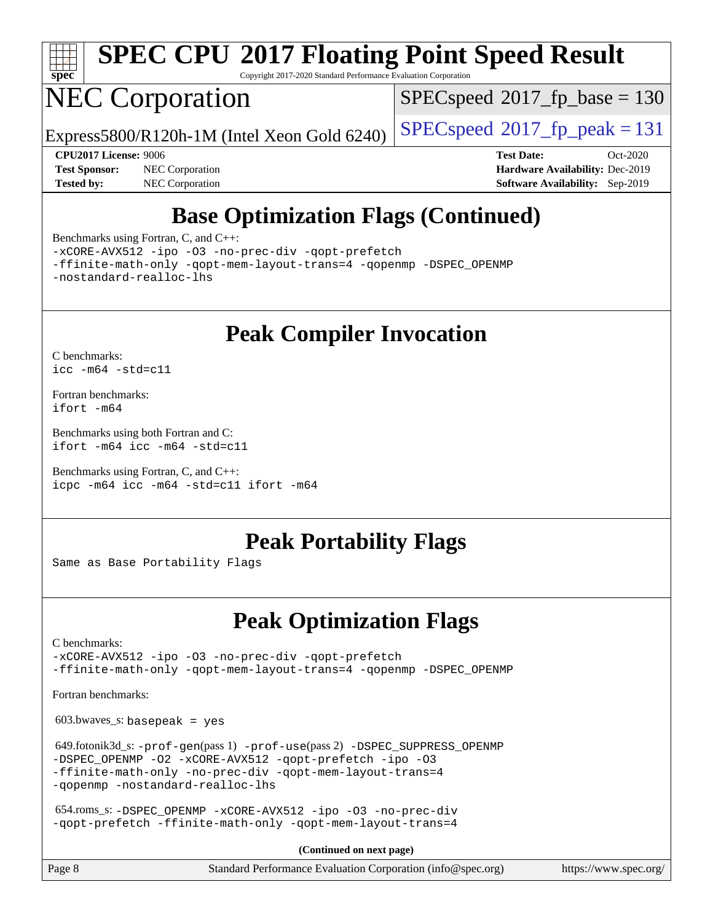

# **[SPEC CPU](http://www.spec.org/auto/cpu2017/Docs/result-fields.html#SPECCPU2017FloatingPointSpeedResult)[2017 Floating Point Speed Result](http://www.spec.org/auto/cpu2017/Docs/result-fields.html#SPECCPU2017FloatingPointSpeedResult)**

Copyright 2017-2020 Standard Performance Evaluation Corporation

# NEC Corporation

[SPECspeed](http://www.spec.org/auto/cpu2017/Docs/result-fields.html#SPECspeed2017fpbase)<sup>®</sup>2017 fp base = 130

Express5800/R120h-1M (Intel Xeon Gold 6240)  $\left|$  [SPECspeed](http://www.spec.org/auto/cpu2017/Docs/result-fields.html#SPECspeed2017fppeak)<sup>®</sup>[2017\\_fp\\_peak = 1](http://www.spec.org/auto/cpu2017/Docs/result-fields.html#SPECspeed2017fppeak)31

**[Test Sponsor:](http://www.spec.org/auto/cpu2017/Docs/result-fields.html#TestSponsor)** NEC Corporation **[Hardware Availability:](http://www.spec.org/auto/cpu2017/Docs/result-fields.html#HardwareAvailability)** Dec-2019 **[Tested by:](http://www.spec.org/auto/cpu2017/Docs/result-fields.html#Testedby)** NEC Corporation **[Software Availability:](http://www.spec.org/auto/cpu2017/Docs/result-fields.html#SoftwareAvailability)** Sep-2019

**[CPU2017 License:](http://www.spec.org/auto/cpu2017/Docs/result-fields.html#CPU2017License)** 9006 **[Test Date:](http://www.spec.org/auto/cpu2017/Docs/result-fields.html#TestDate)** Oct-2020

## **[Base Optimization Flags \(Continued\)](http://www.spec.org/auto/cpu2017/Docs/result-fields.html#BaseOptimizationFlags)**

[Benchmarks using Fortran, C, and C++:](http://www.spec.org/auto/cpu2017/Docs/result-fields.html#BenchmarksusingFortranCandCXX)

[-xCORE-AVX512](http://www.spec.org/cpu2017/results/res2020q4/cpu2017-20201012-24177.flags.html#user_CC_CXX_FCbase_f-xCORE-AVX512) [-ipo](http://www.spec.org/cpu2017/results/res2020q4/cpu2017-20201012-24177.flags.html#user_CC_CXX_FCbase_f-ipo) [-O3](http://www.spec.org/cpu2017/results/res2020q4/cpu2017-20201012-24177.flags.html#user_CC_CXX_FCbase_f-O3) [-no-prec-div](http://www.spec.org/cpu2017/results/res2020q4/cpu2017-20201012-24177.flags.html#user_CC_CXX_FCbase_f-no-prec-div) [-qopt-prefetch](http://www.spec.org/cpu2017/results/res2020q4/cpu2017-20201012-24177.flags.html#user_CC_CXX_FCbase_f-qopt-prefetch)

[-ffinite-math-only](http://www.spec.org/cpu2017/results/res2020q4/cpu2017-20201012-24177.flags.html#user_CC_CXX_FCbase_f_finite_math_only_cb91587bd2077682c4b38af759c288ed7c732db004271a9512da14a4f8007909a5f1427ecbf1a0fb78ff2a814402c6114ac565ca162485bbcae155b5e4258871) [-qopt-mem-layout-trans=4](http://www.spec.org/cpu2017/results/res2020q4/cpu2017-20201012-24177.flags.html#user_CC_CXX_FCbase_f-qopt-mem-layout-trans_fa39e755916c150a61361b7846f310bcdf6f04e385ef281cadf3647acec3f0ae266d1a1d22d972a7087a248fd4e6ca390a3634700869573d231a252c784941a8) [-qopenmp](http://www.spec.org/cpu2017/results/res2020q4/cpu2017-20201012-24177.flags.html#user_CC_CXX_FCbase_qopenmp_16be0c44f24f464004c6784a7acb94aca937f053568ce72f94b139a11c7c168634a55f6653758ddd83bcf7b8463e8028bb0b48b77bcddc6b78d5d95bb1df2967) [-DSPEC\\_OPENMP](http://www.spec.org/cpu2017/results/res2020q4/cpu2017-20201012-24177.flags.html#suite_CC_CXX_FCbase_DSPEC_OPENMP) [-nostandard-realloc-lhs](http://www.spec.org/cpu2017/results/res2020q4/cpu2017-20201012-24177.flags.html#user_CC_CXX_FCbase_f_2003_std_realloc_82b4557e90729c0f113870c07e44d33d6f5a304b4f63d4c15d2d0f1fab99f5daaed73bdb9275d9ae411527f28b936061aa8b9c8f2d63842963b95c9dd6426b8a)

## **[Peak Compiler Invocation](http://www.spec.org/auto/cpu2017/Docs/result-fields.html#PeakCompilerInvocation)**

[C benchmarks](http://www.spec.org/auto/cpu2017/Docs/result-fields.html#Cbenchmarks): [icc -m64 -std=c11](http://www.spec.org/cpu2017/results/res2020q4/cpu2017-20201012-24177.flags.html#user_CCpeak_intel_icc_64bit_c11_33ee0cdaae7deeeab2a9725423ba97205ce30f63b9926c2519791662299b76a0318f32ddfffdc46587804de3178b4f9328c46fa7c2b0cd779d7a61945c91cd35)

[Fortran benchmarks](http://www.spec.org/auto/cpu2017/Docs/result-fields.html#Fortranbenchmarks): [ifort -m64](http://www.spec.org/cpu2017/results/res2020q4/cpu2017-20201012-24177.flags.html#user_FCpeak_intel_ifort_64bit_24f2bb282fbaeffd6157abe4f878425411749daecae9a33200eee2bee2fe76f3b89351d69a8130dd5949958ce389cf37ff59a95e7a40d588e8d3a57e0c3fd751)

[Benchmarks using both Fortran and C](http://www.spec.org/auto/cpu2017/Docs/result-fields.html#BenchmarksusingbothFortranandC): [ifort -m64](http://www.spec.org/cpu2017/results/res2020q4/cpu2017-20201012-24177.flags.html#user_CC_FCpeak_intel_ifort_64bit_24f2bb282fbaeffd6157abe4f878425411749daecae9a33200eee2bee2fe76f3b89351d69a8130dd5949958ce389cf37ff59a95e7a40d588e8d3a57e0c3fd751) [icc -m64 -std=c11](http://www.spec.org/cpu2017/results/res2020q4/cpu2017-20201012-24177.flags.html#user_CC_FCpeak_intel_icc_64bit_c11_33ee0cdaae7deeeab2a9725423ba97205ce30f63b9926c2519791662299b76a0318f32ddfffdc46587804de3178b4f9328c46fa7c2b0cd779d7a61945c91cd35)

[Benchmarks using Fortran, C, and C++:](http://www.spec.org/auto/cpu2017/Docs/result-fields.html#BenchmarksusingFortranCandCXX) [icpc -m64](http://www.spec.org/cpu2017/results/res2020q4/cpu2017-20201012-24177.flags.html#user_CC_CXX_FCpeak_intel_icpc_64bit_4ecb2543ae3f1412ef961e0650ca070fec7b7afdcd6ed48761b84423119d1bf6bdf5cad15b44d48e7256388bc77273b966e5eb805aefd121eb22e9299b2ec9d9) [icc -m64 -std=c11](http://www.spec.org/cpu2017/results/res2020q4/cpu2017-20201012-24177.flags.html#user_CC_CXX_FCpeak_intel_icc_64bit_c11_33ee0cdaae7deeeab2a9725423ba97205ce30f63b9926c2519791662299b76a0318f32ddfffdc46587804de3178b4f9328c46fa7c2b0cd779d7a61945c91cd35) [ifort -m64](http://www.spec.org/cpu2017/results/res2020q4/cpu2017-20201012-24177.flags.html#user_CC_CXX_FCpeak_intel_ifort_64bit_24f2bb282fbaeffd6157abe4f878425411749daecae9a33200eee2bee2fe76f3b89351d69a8130dd5949958ce389cf37ff59a95e7a40d588e8d3a57e0c3fd751)

### **[Peak Portability Flags](http://www.spec.org/auto/cpu2017/Docs/result-fields.html#PeakPortabilityFlags)**

Same as Base Portability Flags

## **[Peak Optimization Flags](http://www.spec.org/auto/cpu2017/Docs/result-fields.html#PeakOptimizationFlags)**

[C benchmarks](http://www.spec.org/auto/cpu2017/Docs/result-fields.html#Cbenchmarks):

[-xCORE-AVX512](http://www.spec.org/cpu2017/results/res2020q4/cpu2017-20201012-24177.flags.html#user_CCpeak_f-xCORE-AVX512) [-ipo](http://www.spec.org/cpu2017/results/res2020q4/cpu2017-20201012-24177.flags.html#user_CCpeak_f-ipo) [-O3](http://www.spec.org/cpu2017/results/res2020q4/cpu2017-20201012-24177.flags.html#user_CCpeak_f-O3) [-no-prec-div](http://www.spec.org/cpu2017/results/res2020q4/cpu2017-20201012-24177.flags.html#user_CCpeak_f-no-prec-div) [-qopt-prefetch](http://www.spec.org/cpu2017/results/res2020q4/cpu2017-20201012-24177.flags.html#user_CCpeak_f-qopt-prefetch) [-ffinite-math-only](http://www.spec.org/cpu2017/results/res2020q4/cpu2017-20201012-24177.flags.html#user_CCpeak_f_finite_math_only_cb91587bd2077682c4b38af759c288ed7c732db004271a9512da14a4f8007909a5f1427ecbf1a0fb78ff2a814402c6114ac565ca162485bbcae155b5e4258871) [-qopt-mem-layout-trans=4](http://www.spec.org/cpu2017/results/res2020q4/cpu2017-20201012-24177.flags.html#user_CCpeak_f-qopt-mem-layout-trans_fa39e755916c150a61361b7846f310bcdf6f04e385ef281cadf3647acec3f0ae266d1a1d22d972a7087a248fd4e6ca390a3634700869573d231a252c784941a8) [-qopenmp](http://www.spec.org/cpu2017/results/res2020q4/cpu2017-20201012-24177.flags.html#user_CCpeak_qopenmp_16be0c44f24f464004c6784a7acb94aca937f053568ce72f94b139a11c7c168634a55f6653758ddd83bcf7b8463e8028bb0b48b77bcddc6b78d5d95bb1df2967) [-DSPEC\\_OPENMP](http://www.spec.org/cpu2017/results/res2020q4/cpu2017-20201012-24177.flags.html#suite_CCpeak_DSPEC_OPENMP)

[Fortran benchmarks](http://www.spec.org/auto/cpu2017/Docs/result-fields.html#Fortranbenchmarks):

 $603.bwaves$  s: basepeak = yes

 649.fotonik3d\_s: [-prof-gen](http://www.spec.org/cpu2017/results/res2020q4/cpu2017-20201012-24177.flags.html#user_peakPASS1_FFLAGSPASS1_LDFLAGS649_fotonik3d_s_prof_gen_5aa4926d6013ddb2a31985c654b3eb18169fc0c6952a63635c234f711e6e63dd76e94ad52365559451ec499a2cdb89e4dc58ba4c67ef54ca681ffbe1461d6b36)(pass 1) [-prof-use](http://www.spec.org/cpu2017/results/res2020q4/cpu2017-20201012-24177.flags.html#user_peakPASS2_FFLAGSPASS2_LDFLAGS649_fotonik3d_s_prof_use_1a21ceae95f36a2b53c25747139a6c16ca95bd9def2a207b4f0849963b97e94f5260e30a0c64f4bb623698870e679ca08317ef8150905d41bd88c6f78df73f19)(pass 2) [-DSPEC\\_SUPPRESS\\_OPENMP](http://www.spec.org/cpu2017/results/res2020q4/cpu2017-20201012-24177.flags.html#suite_peakPASS1_FOPTIMIZE649_fotonik3d_s_DSPEC_SUPPRESS_OPENMP) [-DSPEC\\_OPENMP](http://www.spec.org/cpu2017/results/res2020q4/cpu2017-20201012-24177.flags.html#suite_peakPASS2_FOPTIMIZE649_fotonik3d_s_DSPEC_OPENMP) [-O2](http://www.spec.org/cpu2017/results/res2020q4/cpu2017-20201012-24177.flags.html#user_peakPASS1_FOPTIMIZE649_fotonik3d_s_f-O2) [-xCORE-AVX512](http://www.spec.org/cpu2017/results/res2020q4/cpu2017-20201012-24177.flags.html#user_peakPASS2_FOPTIMIZE649_fotonik3d_s_f-xCORE-AVX512) [-qopt-prefetch](http://www.spec.org/cpu2017/results/res2020q4/cpu2017-20201012-24177.flags.html#user_peakPASS1_FOPTIMIZEPASS2_FOPTIMIZE649_fotonik3d_s_f-qopt-prefetch) [-ipo](http://www.spec.org/cpu2017/results/res2020q4/cpu2017-20201012-24177.flags.html#user_peakPASS2_FOPTIMIZE649_fotonik3d_s_f-ipo) [-O3](http://www.spec.org/cpu2017/results/res2020q4/cpu2017-20201012-24177.flags.html#user_peakPASS2_FOPTIMIZE649_fotonik3d_s_f-O3) [-ffinite-math-only](http://www.spec.org/cpu2017/results/res2020q4/cpu2017-20201012-24177.flags.html#user_peakPASS1_FOPTIMIZEPASS2_FOPTIMIZE649_fotonik3d_s_f_finite_math_only_cb91587bd2077682c4b38af759c288ed7c732db004271a9512da14a4f8007909a5f1427ecbf1a0fb78ff2a814402c6114ac565ca162485bbcae155b5e4258871) [-no-prec-div](http://www.spec.org/cpu2017/results/res2020q4/cpu2017-20201012-24177.flags.html#user_peakPASS2_FOPTIMIZE649_fotonik3d_s_f-no-prec-div) [-qopt-mem-layout-trans=4](http://www.spec.org/cpu2017/results/res2020q4/cpu2017-20201012-24177.flags.html#user_peakPASS1_FOPTIMIZEPASS2_FOPTIMIZE649_fotonik3d_s_f-qopt-mem-layout-trans_fa39e755916c150a61361b7846f310bcdf6f04e385ef281cadf3647acec3f0ae266d1a1d22d972a7087a248fd4e6ca390a3634700869573d231a252c784941a8) [-qopenmp](http://www.spec.org/cpu2017/results/res2020q4/cpu2017-20201012-24177.flags.html#user_peakPASS2_FOPTIMIZE649_fotonik3d_s_qopenmp_16be0c44f24f464004c6784a7acb94aca937f053568ce72f94b139a11c7c168634a55f6653758ddd83bcf7b8463e8028bb0b48b77bcddc6b78d5d95bb1df2967) [-nostandard-realloc-lhs](http://www.spec.org/cpu2017/results/res2020q4/cpu2017-20201012-24177.flags.html#user_peakEXTRA_FOPTIMIZE649_fotonik3d_s_f_2003_std_realloc_82b4557e90729c0f113870c07e44d33d6f5a304b4f63d4c15d2d0f1fab99f5daaed73bdb9275d9ae411527f28b936061aa8b9c8f2d63842963b95c9dd6426b8a)

 654.roms\_s: [-DSPEC\\_OPENMP](http://www.spec.org/cpu2017/results/res2020q4/cpu2017-20201012-24177.flags.html#suite_peakFOPTIMIZE654_roms_s_DSPEC_OPENMP) [-xCORE-AVX512](http://www.spec.org/cpu2017/results/res2020q4/cpu2017-20201012-24177.flags.html#user_peakFOPTIMIZE654_roms_s_f-xCORE-AVX512) [-ipo](http://www.spec.org/cpu2017/results/res2020q4/cpu2017-20201012-24177.flags.html#user_peakFOPTIMIZE654_roms_s_f-ipo) [-O3](http://www.spec.org/cpu2017/results/res2020q4/cpu2017-20201012-24177.flags.html#user_peakFOPTIMIZE654_roms_s_f-O3) [-no-prec-div](http://www.spec.org/cpu2017/results/res2020q4/cpu2017-20201012-24177.flags.html#user_peakFOPTIMIZE654_roms_s_f-no-prec-div) [-qopt-prefetch](http://www.spec.org/cpu2017/results/res2020q4/cpu2017-20201012-24177.flags.html#user_peakFOPTIMIZE654_roms_s_f-qopt-prefetch) [-ffinite-math-only](http://www.spec.org/cpu2017/results/res2020q4/cpu2017-20201012-24177.flags.html#user_peakFOPTIMIZE654_roms_s_f_finite_math_only_cb91587bd2077682c4b38af759c288ed7c732db004271a9512da14a4f8007909a5f1427ecbf1a0fb78ff2a814402c6114ac565ca162485bbcae155b5e4258871) [-qopt-mem-layout-trans=4](http://www.spec.org/cpu2017/results/res2020q4/cpu2017-20201012-24177.flags.html#user_peakFOPTIMIZE654_roms_s_f-qopt-mem-layout-trans_fa39e755916c150a61361b7846f310bcdf6f04e385ef281cadf3647acec3f0ae266d1a1d22d972a7087a248fd4e6ca390a3634700869573d231a252c784941a8)

**(Continued on next page)**

| Page 8 | Standard Performance Evaluation Corporation (info@spec.org) | https://www.spec.org/ |
|--------|-------------------------------------------------------------|-----------------------|
|        |                                                             |                       |